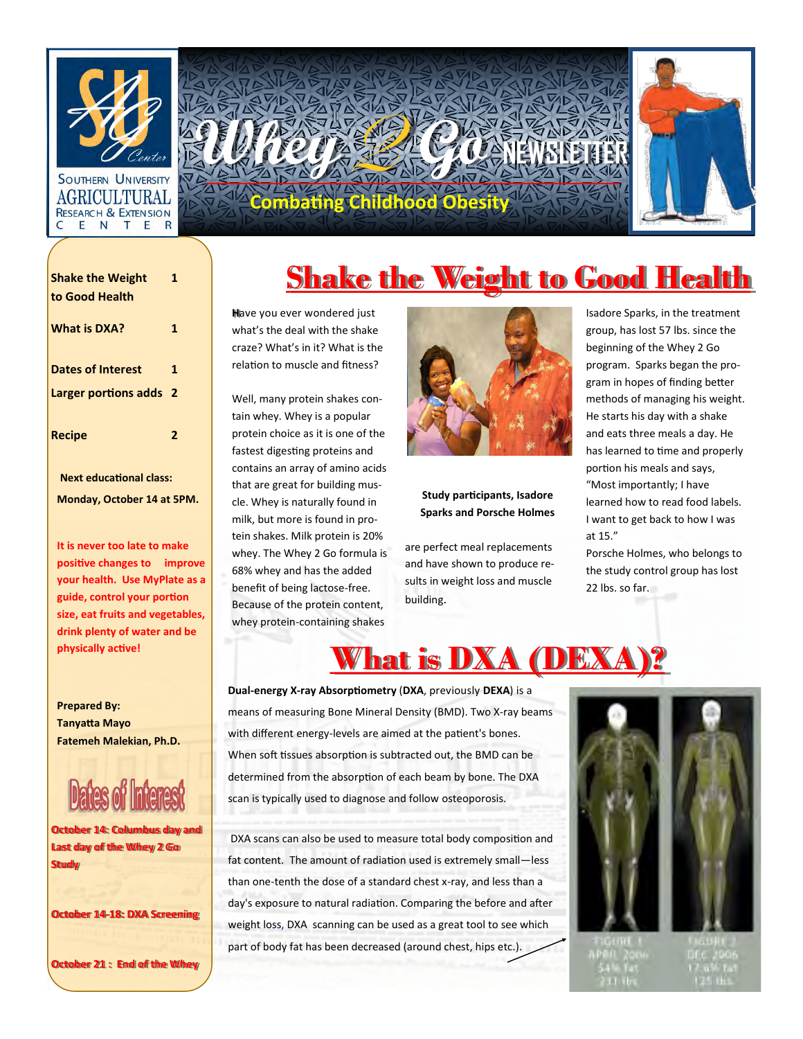

#### AGRICULTURAL **RESEARCH & EXTENSION** C ENTER



| <b>Shake the Weight</b>        | 1            |
|--------------------------------|--------------|
| to Good Health                 |              |
| <b>What is DXA?</b>            | 1            |
| <b>Dates of Interest</b>       | 1            |
| Larger portions adds 2         |              |
| <b>Recipe</b>                  | $\mathbf{2}$ |
| <b>Next educational class:</b> |              |
| Monday, October 14 at 5PM.     |              |

**It is never too late to make positive changes to improve your health. Use MyPlate as a guide, control your portion size, eat fruits and vegetables, drink plenty of water and be physically active!** 

**Prepared By: Tanyatta Mayo Fatemeh Malekian, Ph.D.**

**October 14: Columbus day and Last day of the Whey 2 Go Study**

**October 14-18: DXA Screening**

**October 21 : End of the Whey** 

# **Shake the Weight to Good Health**

**H**ave you ever wondered just what's the deal with the shake craze? What's in it? What is the relation to muscle and fitness?

Well, many protein shakes contain whey. Whey is a popular protein choice as it is one of the fastest digesting proteins and contains an array of amino acids that are great for building muscle. Whey is naturally found in milk, but more is found in protein shakes. Milk protein is 20% whey. The Whey 2 Go formula is 68% whey and has the added benefit of being lactose-free. Because of the protein content, whey protein-containing shakes



### **Study participants, Isadore Sparks and Porsche Holmes**

are perfect meal replacements and have shown to produce results in weight loss and muscle building.

Isadore Sparks, in the treatment group, has lost 57 lbs. since the beginning of the Whey 2 Go program. Sparks began the program in hopes of finding better methods of managing his weight. He starts his day with a shake and eats three meals a day. He has learned to time and properly portion his meals and says, "Most importantly; I have learned how to read food labels. I want to get back to how I was at 15."

Porsche Holmes, who belongs to the study control group has lost 22 lbs. so far.

### **What is DXA (DEX**

**Dual-energy X-ray Absorptiometry** (**DXA**, previously **DEXA**) is a means of measuring [Bone Mineral Density](http://en.wikipedia.org/wiki/Bone_mineral_density) (BMD). Two X-ray beams with different [energy](http://en.wikipedia.org/wiki/Energy_level)-levels are aimed at the patient's bones. When [soft tissues](http://en.wikipedia.org/wiki/Soft_tissue) absorption is subtracted out, the BMD can be determined from the absorption of each beam by bone. The DXA scan is typically used to diagnose and follow osteoporosis.

DXA scans can also be used to measure total body composition and fat content. The amount of radiation used is extremely small—less than one-tenth the dose of a standard chest x-ray, and less than a day's exposure to natural radiation. Comparing the before and after weight loss, DXA scanning can be used as a great tool to see which part of body fat has been decreased (around chest, hips etc.).